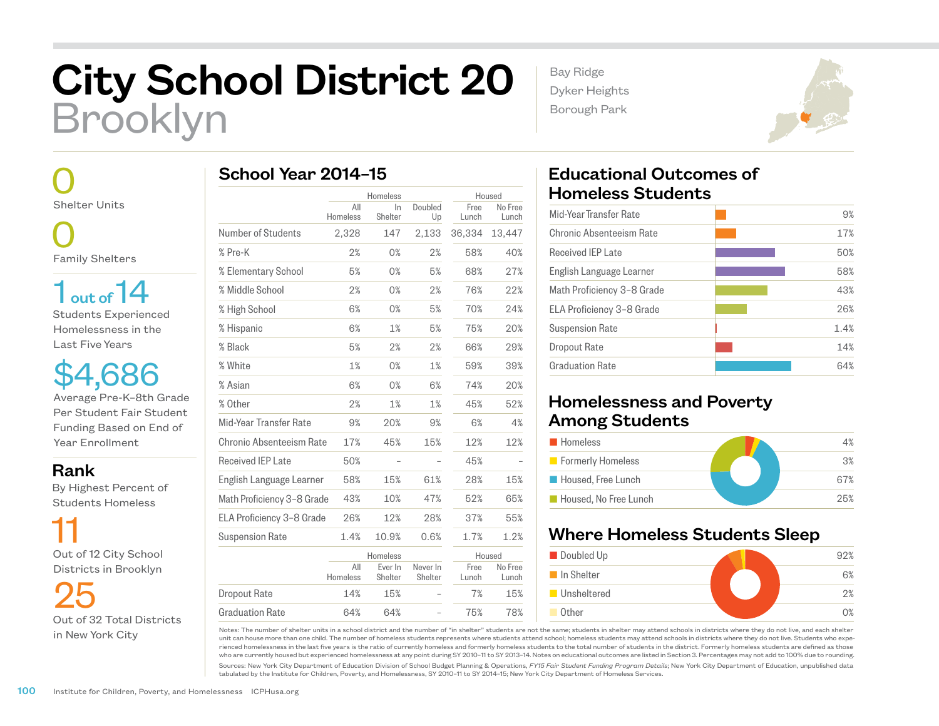## City School District 20 Brooklyn

 0 Shelter Units

 0 Family Shelters

 $1<sub>out of</sub>14$ Students Experienced Homelessness in the Last Five Years

\$4,686 Average Pre-K–8th Grade Per Student Fair Student Funding Based on End of

Rank

 By Highest Percent of Students Homeless

Year Enrollment

 11 Out of 12 City School Districts in Brooklyn

25 Out of 32 Total Districts in New York City

|  | School Year 2014-15 |  |
|--|---------------------|--|
|  |                     |  |

|                            |                 | Homeless           |                     | Housed        |                  |
|----------------------------|-----------------|--------------------|---------------------|---------------|------------------|
|                            | All<br>Homeless | In<br>Shelter      | Doubled<br>Up       | Free<br>Lunch | No Free<br>Lunch |
| Number of Students         | 2,328           | 147                | 2,133               | 36,334        | 13,447           |
| % Pre-K                    | 2%              | 0%                 | 2%                  | 58%           | 40%              |
| % Elementary School        | 5%              | 0%                 | 5%                  | 68%           | 27%              |
| % Middle School            | 2%              | 0%                 | 2%                  | 76%           | 22%              |
| % High School              | 6%              | 0%                 | 5%                  | 70%           | 24%              |
| % Hispanic                 | 6%              | 1%                 | 5%                  | 75%           | 20%              |
| % Black                    | 5%              | 2%                 | 2%                  | 66%           | 29%              |
| % White                    | 1%              | 0%                 | 1%                  | 59%           | 39%              |
| % Asian                    | 6%              | 0%                 | 6%                  | 74%           | 20%              |
| % Other                    | 2%              | 1%                 | 1%                  | 45%           | 52%              |
| Mid-Year Transfer Rate     | 9%              | 20%                | 9%                  | 6%            | 4%               |
| Chronic Absenteeism Rate   | 17%             | 45%                | 15%                 | 12%           | 12%              |
| <b>Received IEP Late</b>   | 50%             |                    |                     | 45%           |                  |
| English Language Learner   | 58%             | 15%                | 61%                 | 28%           | 15%              |
| Math Proficiency 3-8 Grade | 43%             | 10%                | 47%                 | 52%           | 65%              |
| ELA Proficiency 3-8 Grade  | 26%             | 12%                | 28%                 | 37%           | 55%              |
| <b>Suspension Rate</b>     | 1.4%            | 10.9%              | 0.6%                | 1.7%          | 1.2%             |
|                            |                 | Homeless           |                     |               | Housed           |
|                            | All<br>Homeless | Ever In<br>Shelter | Never In<br>Shelter | Free<br>Lunch | No Free<br>Lunch |
| Dropout Rate               | 14%             | 15%                |                     | 7%            | 15%              |
| <b>Graduation Rate</b>     | 64%             | 64%                |                     | 75%           | 78%              |

Bay Ridge Dyker Heights Borough Park



## Educational Outcomes of Homeless Students

| Mid-Year Transfer Rate     | 9%   |
|----------------------------|------|
| Chronic Absenteeism Rate   | 17%  |
| <b>Received IEP Late</b>   | 50%  |
| English Language Learner   | 58%  |
| Math Proficiency 3-8 Grade | 43%  |
| ELA Proficiency 3-8 Grade  | 26%  |
| <b>Suspension Rate</b>     | 1.4% |
| Dropout Rate               | 14%  |
| <b>Graduation Rate</b>     | 64%  |
|                            |      |

## Homelessness and Poverty Among Students

| <b>Homeless</b>       | 4%  |
|-----------------------|-----|
| Formerly Homeless     | 3%  |
| Housed, Free Lunch    | 67% |
| Housed. No Free Lunch | 25% |

## Where Homeless Students Sleep



Notes: The number of shelter units in a school district and the number of "in shelter" students are not the same; students in shelter may attend schools in districts where they do not live, and each shelter unit can house more than one child. The number of homeless students represents where students attend school; homeless students may attend schools in districts where they do not live. Students who experienced homelessness in the last five years is the ratio of currently homeless and formerly homeless students to the total number of students in the district. Formerly homeless students are defined as those who are currently housed but experienced homelessness at any point during SY 2010–11 to SY 2013–14. Notes on educational outcomes are listed in Section 3. Percentages may not add to 100% due to rounding.

Sources: New York City Department of Education Division of School Budget Planning & Operations, *FY15 Fair Student Funding Program Details*; New York City Department of Education, unpublished data tabulated by the Institute for Children, Poverty, and Homelessness, SY 2010–11 to SY 2014–15; New York City Department of Homeless Services.